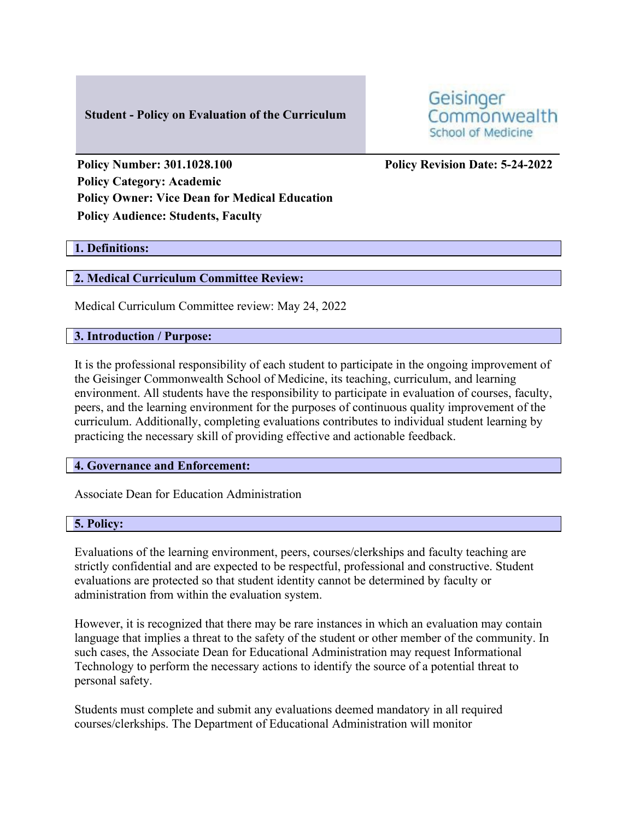# **Student - Policy on Evaluation of the Curriculum**

Geisinger Commonwealth School of Medicine

**Policy Number: 301.1028.100 Policy Revision Date: 5-24-2022 Policy Category: Academic Policy Owner: Vice Dean for Medical Education Policy Audience: Students, Faculty** 

### **1. Definitions:**

### **2. Medical Curriculum Committee Review:**

Medical Curriculum Committee review: May 24, 2022

### **3. Introduction / Purpose:**

It is the professional responsibility of each student to participate in the ongoing improvement of the Geisinger Commonwealth School of Medicine, its teaching, curriculum, and learning environment. All students have the responsibility to participate in evaluation of courses, faculty, peers, and the learning environment for the purposes of continuous quality improvement of the curriculum. Additionally, completing evaluations contributes to individual student learning by practicing the necessary skill of providing effective and actionable feedback.

#### **4. Governance and Enforcement:**

Associate Dean for Education Administration

# **5. Policy:**

Evaluations of the learning environment, peers, courses/clerkships and faculty teaching are strictly confidential and are expected to be respectful, professional and constructive. Student evaluations are protected so that student identity cannot be determined by faculty or administration from within the evaluation system.

However, it is recognized that there may be rare instances in which an evaluation may contain language that implies a threat to the safety of the student or other member of the community. In such cases, the Associate Dean for Educational Administration may request Informational Technology to perform the necessary actions to identify the source of a potential threat to personal safety.

Students must complete and submit any evaluations deemed mandatory in all required courses/clerkships. The Department of Educational Administration will monitor